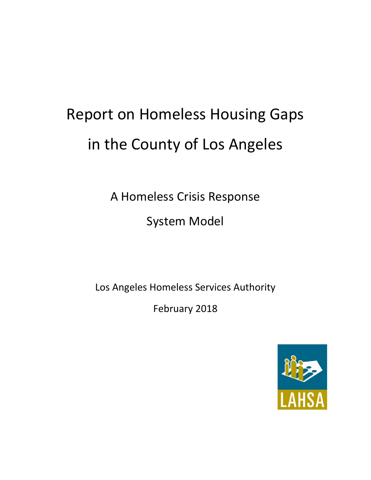# Report on Homeless Housing Gaps in the County of Los Angeles

A Homeless Crisis Response System Model

Los Angeles Homeless Services Authority

February 2018

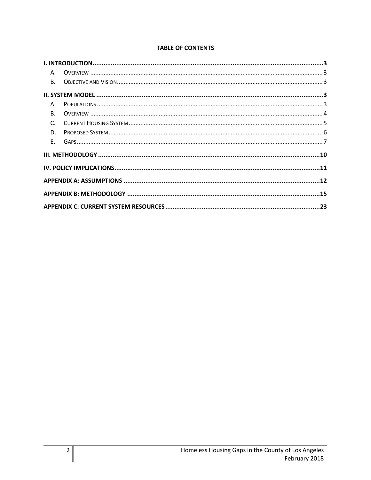| <b>TABLE OF CONTENTS</b> |  |  |
|--------------------------|--|--|
|                          |  |  |

| A.             |  |
|----------------|--|
|                |  |
|                |  |
| Α.             |  |
| B <sub>1</sub> |  |
| $C_{\cdot}$    |  |
| D.             |  |
|                |  |
|                |  |
|                |  |
|                |  |
|                |  |
|                |  |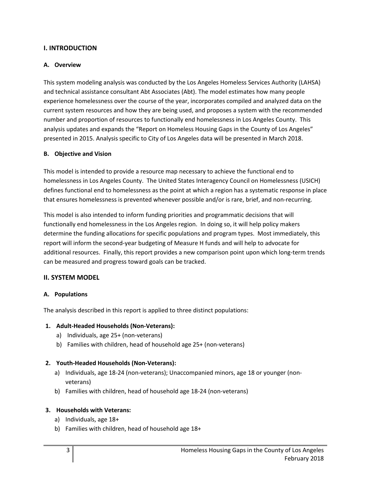## **I. INTRODUCTION**

## **A. Overview**

This system modeling analysis was conducted by the Los Angeles Homeless Services Authority (LAHSA) and technical assistance consultant Abt Associates (Abt). The model estimates how many people experience homelessness over the course of the year, incorporates compiled and analyzed data on the current system resources and how they are being used, and proposes a system with the recommended number and proportion of resources to functionally end homelessness in Los Angeles County. This analysis updates and expands the "Report on Homeless Housing Gaps in the County of Los Angeles" presented in 2015. Analysis specific to City of Los Angeles data will be presented in March 2018.

## **B. Objective and Vision**

This model is intended to provide a resource map necessary to achieve the functional end to homelessness in Los Angeles County. The United States Interagency Council on Homelessness (USICH) defines functional end to homelessness as the point at which a region has a systematic response in place that ensures homelessness is prevented whenever possible and/or is rare, brief, and non-recurring.

This model is also intended to inform funding priorities and programmatic decisions that will functionally end homelessness in the Los Angeles region. In doing so, it will help policy makers determine the funding allocations for specific populations and program types. Most immediately, this report will inform the second-year budgeting of Measure H funds and will help to advocate for additional resources. Finally, this report provides a new comparison point upon which long-term trends can be measured and progress toward goals can be tracked.

## **II. SYSTEM MODEL**

## **A. Populations**

The analysis described in this report is applied to three distinct populations:

## **1. Adult-Headed Households (Non-Veterans):**

- a) Individuals, age 25+ (non-veterans)
- b) Families with children, head of household age 25+ (non-veterans)

## **2. Youth-Headed Households (Non-Veterans):**

- a) Individuals, age 18-24 (non-veterans); Unaccompanied minors, age 18 or younger (nonveterans)
- b) Families with children, head of household age 18-24 (non-veterans)

## **3. Households with Veterans:**

- a) Individuals, age 18+
- b) Families with children, head of household age 18+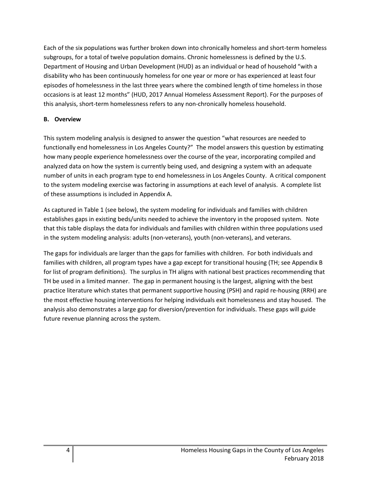Each of the six populations was further broken down into chronically homeless and short-term homeless subgroups, for a total of twelve population domains. Chronic homelessness is defined by the U.S. Department of Housing and Urban Development (HUD) as an individual or head of household "with a disability who has been continuously homeless for one year or more or has experienced at least four episodes of homelessness in the last three years where the combined length of time homeless in those occasions is at least 12 months" (HUD, 2017 Annual Homeless Assessment Report). For the purposes of this analysis, short-term homelessness refers to any non-chronically homeless household.

## **B. Overview**

This system modeling analysis is designed to answer the question "what resources are needed to functionally end homelessness in Los Angeles County?" The model answers this question by estimating how many people experience homelessness over the course of the year, incorporating compiled and analyzed data on how the system is currently being used, and designing a system with an adequate number of units in each program type to end homelessness in Los Angeles County. A critical component to the system modeling exercise was factoring in assumptions at each level of analysis. A complete list of these assumptions is included in Appendix A.

As captured in Table 1 (see below), the system modeling for individuals and families with children establishes gaps in existing beds/units needed to achieve the inventory in the proposed system. Note that this table displays the data for individuals and families with children within three populations used in the system modeling analysis: adults (non-veterans), youth (non-veterans), and veterans.

The gaps for individuals are larger than the gaps for families with children. For both individuals and families with children, all program types have a gap except for transitional housing (TH; see Appendix B for list of program definitions). The surplus in TH aligns with national best practices recommending that TH be used in a limited manner. The gap in permanent housing is the largest, aligning with the best practice literature which states that permanent supportive housing (PSH) and rapid re-housing (RRH) are the most effective housing interventions for helping individuals exit homelessness and stay housed. The analysis also demonstrates a large gap for diversion/prevention for individuals. These gaps will guide future revenue planning across the system.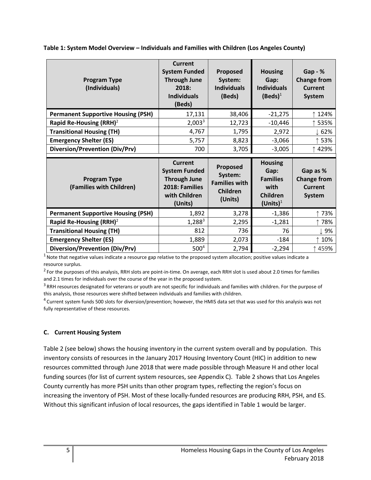| <b>Program Type</b><br>(Individuals)            | Current<br><b>System Funded</b><br><b>Through June</b><br>2018:<br><b>Individuals</b><br>(Beds)             | Proposed<br>System:<br><b>Individuals</b><br>(Beds)                | <b>Housing</b><br>Gap:<br><b>Individuals</b><br>$(Beds)^1$                          | $Gap - %$<br><b>Change from</b><br><b>Current</b><br><b>System</b> |
|-------------------------------------------------|-------------------------------------------------------------------------------------------------------------|--------------------------------------------------------------------|-------------------------------------------------------------------------------------|--------------------------------------------------------------------|
| <b>Permanent Supportive Housing (PSH)</b>       | 17,131                                                                                                      | 38,406                                                             | $-21,275$                                                                           | ↑ 124%                                                             |
| Rapid Re-Housing (RRH) <sup>2</sup>             | 2,003 <sup>3</sup>                                                                                          | 12,723                                                             | $-10,446$                                                                           | ↑ 535%                                                             |
| <b>Transitional Housing (TH)</b>                | 4,767                                                                                                       | 1,795                                                              | 2,972                                                                               | 62%                                                                |
| <b>Emergency Shelter (ES)</b>                   | 5,757                                                                                                       | 8,823                                                              | $-3,066$                                                                            | ↑ 53%                                                              |
| Diversion/Prevention (Div/Prv)                  | 700                                                                                                         | 3,705                                                              | $-3,005$                                                                            | ↑429%                                                              |
|                                                 |                                                                                                             |                                                                    |                                                                                     |                                                                    |
| <b>Program Type</b><br>(Families with Children) | <b>Current</b><br><b>System Funded</b><br><b>Through June</b><br>2018: Families<br>with Children<br>(Units) | Proposed<br>System:<br><b>Families with</b><br>Children<br>(Units) | <b>Housing</b><br>Gap:<br><b>Families</b><br>with<br><b>Children</b><br>$(Units)^1$ | Gap as %<br><b>Change from</b><br>Current<br><b>System</b>         |
| <b>Permanent Supportive Housing (PSH)</b>       | 1,892                                                                                                       | 3,278                                                              | $-1,386$                                                                            | ↑73%                                                               |
| Rapid Re-Housing (RRH) <sup>2</sup>             | $1,288^3$                                                                                                   | 2,295                                                              | $-1,281$                                                                            | ↑78%                                                               |
| <b>Transitional Housing (TH)</b>                | 812                                                                                                         | 736                                                                | 76                                                                                  | $\downarrow$ 9%                                                    |
| <b>Emergency Shelter (ES)</b>                   | 1,889                                                                                                       | 2,073                                                              | $-184$                                                                              | ↑ 10%                                                              |

**Table 1: System Model Overview – Individuals and Families with Children (Los Angeles County)**

 $1$  Note that negative values indicate a resource gap relative to the proposed system allocation; positive values indicate a resource surplus.

 $^2$  For the purposes of this analysis, RRH slots are point-in-time. On average, each RRH slot is used about 2.0 times for families and 2.1 times for individuals over the course of the year in the proposed system.

 $3$  RRH resources designated for veterans or youth are not specific for individuals and families with children. For the purpose of this analysis, those resources were shifted between individuals and families with children.

<sup>4</sup> Current system funds 500 slots for diversion/prevention; however, the HMIS data set that was used for this analysis was not fully representative of these resources.

#### **C. Current Housing System**

Table 2 (see below) shows the housing inventory in the current system overall and by population. This inventory consists of resources in the January 2017 Housing Inventory Count (HIC) in addition to new resources committed through June 2018 that were made possible through Measure H and other local funding sources (for list of current system resources, see Appendix C). Table 2 shows that Los Angeles County currently has more PSH units than other program types, reflecting the region's focus on increasing the inventory of PSH. Most of these locally-funded resources are producing RRH, PSH, and ES. Without this significant infusion of local resources, the gaps identified in Table 1 would be larger.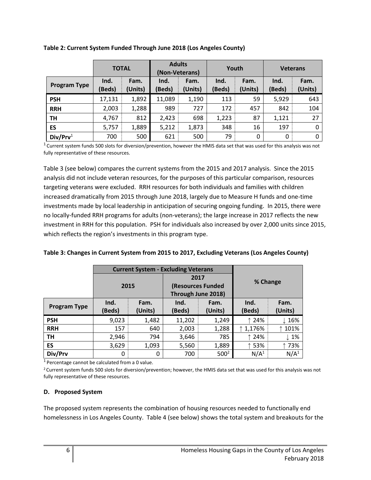|                      | <b>TOTAL</b>   |                 | <b>Adults</b><br>(Non-Veterans) |                 | Youth          |                 | <b>Veterans</b> |                 |
|----------------------|----------------|-----------------|---------------------------------|-----------------|----------------|-----------------|-----------------|-----------------|
| <b>Program Type</b>  | Ind.<br>(Beds) | Fam.<br>(Units) | Ind.<br>(Beds)                  | Fam.<br>(Units) | Ind.<br>(Beds) | Fam.<br>(Units) | Ind.<br>(Beds)  | Fam.<br>(Units) |
| <b>PSH</b>           | 17,131         | 1,892           | 11,089                          | 1,190           | 113            | 59              | 5,929           | 643             |
| <b>RRH</b>           | 2,003          | 1,288           | 989                             | 727             | 172            | 457             | 842             | 104             |
| TH                   | 4,767          | 812             | 2,423                           | 698             | 1,223          | 87              | 1,121           | 27              |
| ES                   | 5,757          | 1,889           | 5,212                           | 1,873           | 348            | 16              | 197             | 0               |
| Div/Prv <sup>1</sup> | 700            | 500             | 621                             | 500             | 79             | 0               | 0               | 0               |

**Table 2: Current System Funded Through June 2018 (Los Angeles County)**

 $^1$  Current system funds 500 slots for diversion/prevention, however the HMIS data set that was used for this analysis was not fully representative of these resources.

Table 3 (see below) compares the current systems from the 2015 and 2017 analysis. Since the 2015 analysis did not include veteran resources, for the purposes of this particular comparison, resources targeting veterans were excluded. RRH resources for both individuals and families with children increased dramatically from 2015 through June 2018, largely due to Measure H funds and one-time investments made by local leadership in anticipation of securing ongoing funding. In 2015, there were no locally-funded RRH programs for adults (non-veterans); the large increase in 2017 reflects the new investment in RRH for this population. PSH for individuals also increased by over 2,000 units since 2015, which reflects the region's investments in this program type.

| Table 3: Changes in Current System from 2015 to 2017, Excluding Veterans (Los Angeles County) |  |  |  |
|-----------------------------------------------------------------------------------------------|--|--|--|
|-----------------------------------------------------------------------------------------------|--|--|--|

|                     |        | <b>Current System - Excluding Veterans</b> |                    |         |                  |                  |  |
|---------------------|--------|--------------------------------------------|--------------------|---------|------------------|------------------|--|
|                     |        |                                            | 2017               |         | % Change         |                  |  |
|                     | 2015   |                                            | (Resources Funded  |         |                  |                  |  |
|                     |        |                                            | Through June 2018) |         |                  |                  |  |
| <b>Program Type</b> | Ind.   | Fam.                                       | Ind.               | Fam.    | Ind.             | Fam.             |  |
|                     | (Beds) | (Units)                                    | (Beds)             | (Units) | (Beds)           | (Units)          |  |
| <b>PSH</b>          | 9,023  | 1,482                                      | 11,202             | 1,249   | 24%              | $\downarrow$ 16% |  |
| <b>RRH</b>          | 157    | 640                                        | 2,003              | 1,288   | ↑ 1,176%         | 101%             |  |
| TH                  | 2,946  | 794                                        | 3,646              | 785     | ↑ 24%            | $\downarrow$ 1%  |  |
| ES                  | 3,629  | 1,093                                      | 5,560              | 1,889   | 53%              | 73%              |  |
| Div/Prv             | 0      | 0                                          | 700                | $500^2$ | N/A <sup>1</sup> | N/A <sup>1</sup> |  |

 $1$  Percentage cannot be calculated from a 0 value.

<sup>2</sup> Current system funds 500 slots for diversion/prevention; however, the HMIS data set that was used for this analysis was not fully representative of these resources.

#### **D. Proposed System**

The proposed system represents the combination of housing resources needed to functionally end homelessness in Los Angeles County. Table 4 (see below) shows the total system and breakouts for the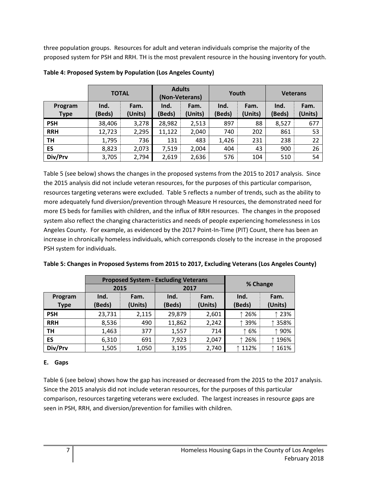three population groups. Resources for adult and veteran individuals comprise the majority of the proposed system for PSH and RRH. TH is the most prevalent resource in the housing inventory for youth.

|                        | <b>TOTAL</b>   |                 | <b>Adults</b><br>(Non-Veterans) |                 | Youth          |                 | <b>Veterans</b> |                 |
|------------------------|----------------|-----------------|---------------------------------|-----------------|----------------|-----------------|-----------------|-----------------|
| Program<br><b>Type</b> | Ind.<br>(Beds) | Fam.<br>(Units) | Ind.<br>(Beds)                  | Fam.<br>(Units) | Ind.<br>(Beds) | Fam.<br>(Units) | Ind.<br>(Beds)  | Fam.<br>(Units) |
| <b>PSH</b>             | 38,406         | 3,278           | 28,982                          | 2,513           | 897            | 88              | 8,527           | 677             |
| <b>RRH</b>             | 12,723         | 2,295           | 11,122                          | 2,040           | 740            | 202             | 861             | 53              |
| <b>TH</b>              | 1,795          | 736             | 131                             | 483             | 1,426          | 231             | 238             | 22              |
| ES                     | 8,823          | 2,073           | 7,519                           | 2,004           | 404            | 43              | 900             | 26              |
| Div/Prv                | 3,705          | 2,794           | 2,619                           | 2,636           | 576            | 104             | 510             | 54              |

Table 5 (see below) shows the changes in the proposed systems from the 2015 to 2017 analysis. Since the 2015 analysis did not include veteran resources, for the purposes of this particular comparison, resources targeting veterans were excluded. Table 5 reflects a number of trends, such as the ability to more adequately fund diversion/prevention through Measure H resources, the demonstrated need for more ES beds for families with children, and the influx of RRH resources. The changes in the proposed system also reflect the changing characteristics and needs of people experiencing homelessness in Los Angeles County. For example, as evidenced by the 2017 Point-In-Time (PIT) Count, there has been an increase in chronically homeless individuals, which corresponds closely to the increase in the proposed PSH system for individuals.

| Table 5: Changes in Proposed Systems from 2015 to 2017, Excluding Veterans (Los Angeles County) |  |
|-------------------------------------------------------------------------------------------------|--|
|-------------------------------------------------------------------------------------------------|--|

|             |              | <b>Proposed System - Excluding Veterans</b> |        |         |          |          |  |
|-------------|--------------|---------------------------------------------|--------|---------|----------|----------|--|
|             | 2015         |                                             | 2017   |         | % Change |          |  |
| Program     | Ind.<br>Fam. |                                             | Ind.   | Fam.    |          | Fam.     |  |
| <b>Type</b> | (Beds)       | (Units)                                     | (Beds) | (Units) | (Beds)   | (Units)  |  |
| <b>PSH</b>  | 23,731       | 2,115                                       | 29,879 | 2,601   | ↑ 26%    | 23%      |  |
| <b>RRH</b>  | 8,536        | 490                                         | 11,862 | 2,242   | ↑ 39%    | 358%     |  |
| <b>TH</b>   | 1,463        | 377                                         | 1,557  | 714     | ↑ 6%     | 90%<br>↑ |  |
| ES          | 6,310        | 691                                         | 7,923  | 2,047   | ↑ 26%    | 196%     |  |
| Div/Prv     | 1,505        | 1,050                                       | 3,195  | 2,740   | ↑ 112%   | 161%     |  |

## **E. Gaps**

Table 6 (see below) shows how the gap has increased or decreased from the 2015 to the 2017 analysis. Since the 2015 analysis did not include veteran resources, for the purposes of this particular comparison, resources targeting veterans were excluded. The largest increases in resource gaps are seen in PSH, RRH, and diversion/prevention for families with children.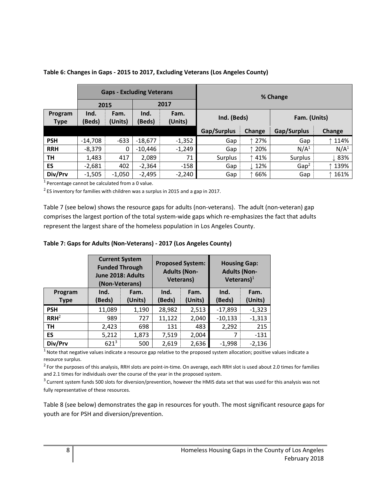|                        |                | <b>Gaps - Excluding Veterans</b> |                |                 |             |                  |                  |                  |
|------------------------|----------------|----------------------------------|----------------|-----------------|-------------|------------------|------------------|------------------|
|                        |                | 2015                             |                | 2017            | % Change    |                  |                  |                  |
| Program<br><b>Type</b> | Ind.<br>(Beds) | Fam.<br>(Units)                  | Ind.<br>(Beds) | Fam.<br>(Units) | Ind. (Beds) |                  | Fam. (Units)     |                  |
|                        |                |                                  |                |                 | Gap/Surplus | Change           | Gap/Surplus      | <b>Change</b>    |
| <b>PSH</b>             | $-14,708$      | $-633$                           | $-18,677$      | $-1,352$        | Gap         | ↑ 27%            | Gap              | ↑ 114%           |
| <b>RRH</b>             | $-8,379$       | 0                                | $-10,446$      | $-1,249$        | Gap         | ↑ 20%            | N/A <sup>1</sup> | N/A <sup>1</sup> |
| TH                     | 1,483          | 417                              | 2,089          | 71              | Surplus     | ↑41%             | Surplus          | $\downarrow$ 83% |
| ES                     | $-2,681$       | 402                              | $-2,364$       | $-158$          | Gap         | $\downarrow$ 12% | Gap <sup>2</sup> | ↑ 139%           |
| Div/Prv                | $-1,505$       | $-1,050$                         | $-2,495$       | $-2,240$        | Gap         | 66%              | Gap              | 161%             |

#### **Table 6: Changes in Gaps - 2015 to 2017, Excluding Veterans (Los Angeles County)**

 $1$  Percentage cannot be calculated from a 0 value.

 $^2$  ES inventory for families with children was a surplus in 2015 and a gap in 2017.

Table 7 (see below) shows the resource gaps for adults (non-veterans). The adult (non-veteran) gap comprises the largest portion of the total system-wide gaps which re-emphasizes the fact that adults represent the largest share of the homeless population in Los Angeles County.

|                        | <b>Current System</b><br><b>Funded Through</b><br>June 2018: Adults<br>(Non-Veterans) |                 | <b>Proposed System:</b><br><b>Adults (Non-</b><br><b>Veterans)</b> |                 | <b>Housing Gap:</b><br><b>Adults (Non-</b><br>Veterans $)^1$ |                 |  |
|------------------------|---------------------------------------------------------------------------------------|-----------------|--------------------------------------------------------------------|-----------------|--------------------------------------------------------------|-----------------|--|
| Program<br><b>Type</b> | Ind.<br>(Beds)                                                                        | Fam.<br>(Units) | Ind.<br>(Beds)                                                     | Fam.<br>(Units) | Ind.<br>(Beds)                                               | Fam.<br>(Units) |  |
| <b>PSH</b>             | 11,089                                                                                | 1,190           | 28,982                                                             | 2,513           | $-17,893$                                                    | $-1,323$        |  |
| RRH <sup>2</sup>       | 989                                                                                   | 727             | 11,122                                                             | 2,040           | $-10,133$                                                    | $-1,313$        |  |
| TH                     | 2,423                                                                                 | 698             | 131                                                                | 483             | 2,292                                                        | 215             |  |
| <b>ES</b>              | 5,212                                                                                 | 1,873           | 7,519                                                              | 2,004           |                                                              | $-131$          |  |
| Div/Prv                | $621^{3}$                                                                             | 500             | 2,619                                                              | 2,636           | $-1,998$                                                     | $-2,136$        |  |

**Table 7: Gaps for Adults (Non-Veterans) - 2017 (Los Angeles County)**

 $1$  Note that negative values indicate a resource gap relative to the proposed system allocation; positive values indicate a resource surplus.

 $^2$  For the purposes of this analysis, RRH slots are point-in-time. On average, each RRH slot is used about 2.0 times for families and 2.1 times for individuals over the course of the year in the proposed system.

<sup>3</sup> Current system funds 500 slots for diversion/prevention, however the HMIS data set that was used for this analysis was not fully representative of these resources.

Table 8 (see below) demonstrates the gap in resources for youth. The most significant resource gaps for youth are for PSH and diversion/prevention.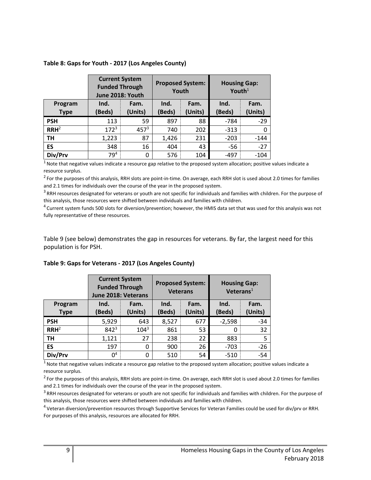#### **Table 8: Gaps for Youth - 2017 (Los Angeles County)**

|                        | <b>Current System</b><br><b>Funded Through</b><br>June 2018: Youth |                 | <b>Proposed System:</b><br>Youth |                 | <b>Housing Gap:</b><br>Youth $1$ |                 |
|------------------------|--------------------------------------------------------------------|-----------------|----------------------------------|-----------------|----------------------------------|-----------------|
| Program<br><b>Type</b> | Ind.<br>(Beds)                                                     | Fam.<br>(Units) | Ind.<br>Beds)                    | Fam.<br>(Units) | Ind.<br>(Beds)                   | Fam.<br>(Units) |
| <b>PSH</b>             | 113                                                                | 59              | 897                              | 88              | -784                             | $-29$           |
| RRH <sup>2</sup>       | $172^3$                                                            | $457^{3}$       | 740                              | 202             | $-313$                           | 0               |
| TН                     | 1,223                                                              | 87              | 1,426                            | 231             | $-203$                           | $-144$          |
| ES                     | 348                                                                | 16              | 404                              | 43              | -56                              | $-27$           |
| Div/Prv                | 79 <sup>4</sup>                                                    | 0               | 576                              | 104             | $-497$                           | $-104$          |

 $1$  Note that negative values indicate a resource gap relative to the proposed system allocation; positive values indicate a resource surplus.

 $^2$  For the purposes of this analysis, RRH slots are point-in-time. On average, each RRH slot is used about 2.0 times for families and 2.1 times for individuals over the course of the year in the proposed system.

 $3$  RRH resources designated for veterans or youth are not specific for individuals and families with children. For the purpose of this analysis, those resources were shifted between individuals and families with children.

<sup>4</sup> Current system funds 500 slots for diversion/prevention; however, the HMIS data set that was used for this analysis was not fully representative of these resources.

Table 9 (see below) demonstrates the gap in resources for veterans. By far, the largest need for this population is for PSH.

| Table 9: Gaps for Veterans - 2017 (Los Angeles County) |  |  |  |
|--------------------------------------------------------|--|--|--|
|--------------------------------------------------------|--|--|--|

|                        | <b>Current System</b><br><b>Funded Through</b><br>June 2018: Veterans |                 | <b>Proposed System:</b><br><b>Veterans</b> |                 | <b>Housing Gap:</b><br>Veterans $1$ |                 |
|------------------------|-----------------------------------------------------------------------|-----------------|--------------------------------------------|-----------------|-------------------------------------|-----------------|
| Program<br><b>Type</b> | Ind.<br>(Beds)                                                        | Fam.<br>(Units) | Ind.<br>Beds)                              | Fam.<br>(Units) | Ind.<br>(Beds)                      | Fam.<br>(Units) |
| <b>PSH</b>             | 5,929                                                                 | 643             | 8,527                                      | 677             | $-2,598$                            | $-34$           |
| RRH <sup>2</sup>       | $842^3$                                                               | $104^3$         | 861                                        | 53              | 0                                   | 32              |
| TН                     | 1,121                                                                 | 27              | 238                                        | 22              | 883                                 | 5               |
| ES                     | 197                                                                   | 0               | 900                                        | 26              | $-703$                              | $-26$           |
| Div/Prv                | 0 <sup>4</sup>                                                        | 0               | 510                                        | 54              | $-510$                              | $-54$           |

 $1$  Note that negative values indicate a resource gap relative to the proposed system allocation; positive values indicate a resource surplus.

 $^2$  For the purposes of this analysis, RRH slots are point-in-time. On average, each RRH slot is used about 2.0 times for families and 2.1 times for individuals over the course of the year in the proposed system.

 $3$  RRH resources designated for veterans or youth are not specific for individuals and families with children. For the purpose of this analysis, those resources were shifted between individuals and families with children.

<sup>4</sup> Veteran diversion/prevention resources through Supportive Services for Veteran Families could be used for div/prv or RRH. For purposes of this analysis, resources are allocated for RRH.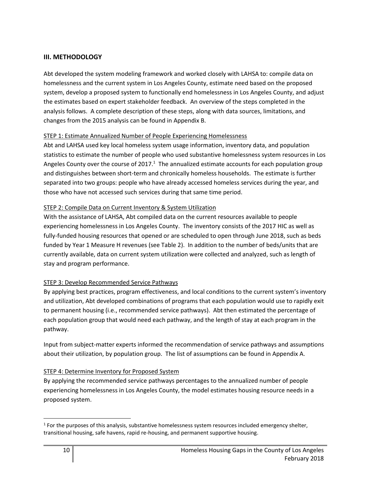## **III. METHODOLOGY**

Abt developed the system modeling framework and worked closely with LAHSA to: compile data on homelessness and the current system in Los Angeles County, estimate need based on the proposed system, develop a proposed system to functionally end homelessness in Los Angeles County, and adjust the estimates based on expert stakeholder feedback. An overview of the steps completed in the analysis follows. A complete description of these steps, along with data sources, limitations, and changes from the 2015 analysis can be found in Appendix B.

## STEP 1: Estimate Annualized Number of People Experiencing Homelessness

Abt and LAHSA used key local homeless system usage information, inventory data, and population statistics to estimate the number of people who used substantive homelessness system resources in Los Angeles County over the course of  $2017<sup>1</sup>$ . The annualized estimate accounts for each population group and distinguishes between short-term and chronically homeless households. The estimate is further separated into two groups: people who have already accessed homeless services during the year, and those who have not accessed such services during that same time period.

## STEP 2: Compile Data on Current Inventory & System Utilization

With the assistance of LAHSA, Abt compiled data on the current resources available to people experiencing homelessness in Los Angeles County. The inventory consists of the 2017 HIC as well as fully-funded housing resources that opened or are scheduled to open through June 2018, such as beds funded by Year 1 Measure H revenues (see Table 2). In addition to the number of beds/units that are currently available, data on current system utilization were collected and analyzed, such as length of stay and program performance.

## STEP 3: Develop Recommended Service Pathways

By applying best practices, program effectiveness, and local conditions to the current system's inventory and utilization, Abt developed combinations of programs that each population would use to rapidly exit to permanent housing (i.e., recommended service pathways). Abt then estimated the percentage of each population group that would need each pathway, and the length of stay at each program in the pathway.

Input from subject-matter experts informed the recommendation of service pathways and assumptions about their utilization, by population group. The list of assumptions can be found in Appendix A.

## STEP 4: Determine Inventory for Proposed System

By applying the recommended service pathways percentages to the annualized number of people experiencing homelessness in Los Angeles County, the model estimates housing resource needs in a proposed system.

 $\overline{\phantom{a}}$ 

 $<sup>1</sup>$  For the purposes of this analysis, substantive homelessness system resources included emergency shelter,</sup> transitional housing, safe havens, rapid re-housing, and permanent supportive housing.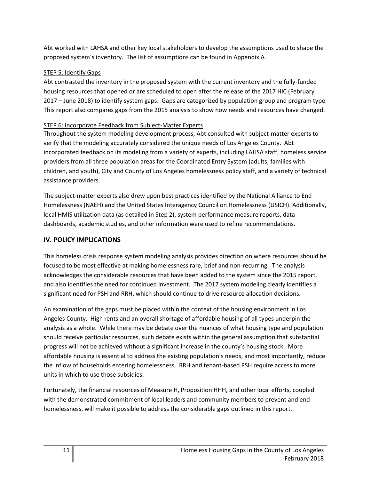Abt worked with LAHSA and other key local stakeholders to develop the assumptions used to shape the proposed system's inventory. The list of assumptions can be found in Appendix A.

## STEP 5: Identify Gaps

Abt contrasted the inventory in the proposed system with the current inventory and the fully-funded housing resources that opened or are scheduled to open after the release of the 2017 HIC (February 2017 – June 2018) to identify system gaps. Gaps are categorized by population group and program type. This report also compares gaps from the 2015 analysis to show how needs and resources have changed.

# STEP 6: Incorporate Feedback from Subject-Matter Experts

Throughout the system modeling development process, Abt consulted with subject-matter experts to verify that the modeling accurately considered the unique needs of Los Angeles County. Abt incorporated feedback on its modeling from a variety of experts, including LAHSA staff, homeless service providers from all three population areas for the Coordinated Entry System (adults, families with children, and youth), City and County of Los Angeles homelessness policy staff, and a variety of technical assistance providers.

The subject-matter experts also drew upon best practices identified by the National Alliance to End Homelessness (NAEH) and the United States Interagency Council on Homelessness (USICH). Additionally, local HMIS utilization data (as detailed in Step 2), system performance measure reports, data dashboards, academic studies, and other information were used to refine recommendations.

# **IV. POLICY IMPLICATIONS**

This homeless crisis response system modeling analysis provides direction on where resources should be focused to be most effective at making homelessness rare, brief and non-recurring. The analysis acknowledges the considerable resources that have been added to the system since the 2015 report, and also identifies the need for continued investment. The 2017 system modeling clearly identifies a significant need for PSH and RRH, which should continue to drive resource allocation decisions.

An examination of the gaps must be placed within the context of the housing environment in Los Angeles County. High rents and an overall shortage of affordable housing of all types underpin the analysis as a whole. While there may be debate over the nuances of what housing type and population should receive particular resources, such debate exists within the general assumption that substantial progress will not be achieved without a significant increase in the county's housing stock. More affordable housing is essential to address the existing population's needs, and most importantly, reduce the inflow of households entering homelessness. RRH and tenant-based PSH require access to more units in which to use those subsidies.

Fortunately, the financial resources of Measure H, Proposition HHH, and other local efforts, coupled with the demonstrated commitment of local leaders and community members to prevent and end homelessness, will make it possible to address the considerable gaps outlined in this report.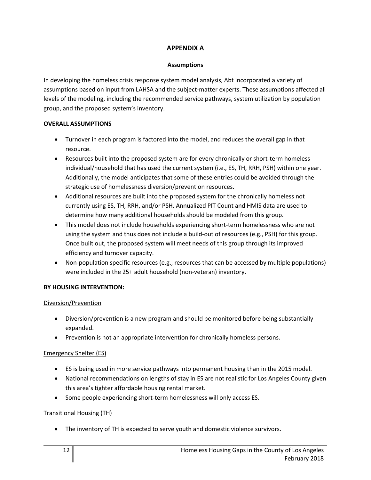## **APPENDIX A**

#### **Assumptions**

In developing the homeless crisis response system model analysis, Abt incorporated a variety of assumptions based on input from LAHSA and the subject-matter experts. These assumptions affected all levels of the modeling, including the recommended service pathways, system utilization by population group, and the proposed system's inventory.

#### **OVERALL ASSUMPTIONS**

- Turnover in each program is factored into the model, and reduces the overall gap in that resource.
- Resources built into the proposed system are for every chronically or short-term homeless individual/household that has used the current system (i.e., ES, TH, RRH, PSH) within one year. Additionally, the model anticipates that some of these entries could be avoided through the strategic use of homelessness diversion/prevention resources.
- Additional resources are built into the proposed system for the chronically homeless not currently using ES, TH, RRH, and/or PSH. Annualized PIT Count and HMIS data are used to determine how many additional households should be modeled from this group.
- This model does not include households experiencing short-term homelessness who are not using the system and thus does not include a build-out of resources (e.g., PSH) for this group. Once built out, the proposed system will meet needs of this group through its improved efficiency and turnover capacity.
- Non-population specific resources (e.g., resources that can be accessed by multiple populations) were included in the 25+ adult household (non-veteran) inventory.

## **BY HOUSING INTERVENTION:**

## Diversion/Prevention

- Diversion/prevention is a new program and should be monitored before being substantially expanded.
- Prevention is not an appropriate intervention for chronically homeless persons.

## Emergency Shelter (ES)

- ES is being used in more service pathways into permanent housing than in the 2015 model.
- National recommendations on lengths of stay in ES are not realistic for Los Angeles County given this area's tighter affordable housing rental market.
- Some people experiencing short-term homelessness will only access ES.

## Transitional Housing (TH)

• The inventory of TH is expected to serve youth and domestic violence survivors.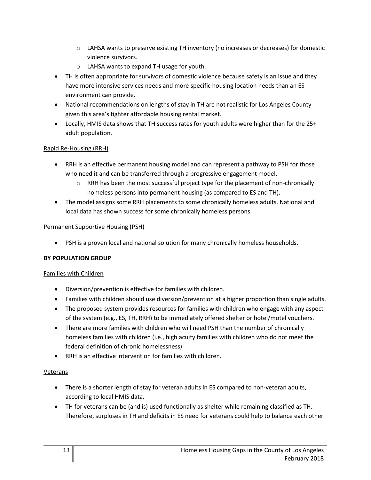- $\circ$  LAHSA wants to preserve existing TH inventory (no increases or decreases) for domestic violence survivors.
- o LAHSA wants to expand TH usage for youth.
- TH is often appropriate for survivors of domestic violence because safety is an issue and they have more intensive services needs and more specific housing location needs than an ES environment can provide.
- National recommendations on lengths of stay in TH are not realistic for Los Angeles County given this area's tighter affordable housing rental market.
- Locally, HMIS data shows that TH success rates for youth adults were higher than for the 25+ adult population.

## Rapid Re-Housing (RRH)

- RRH is an effective permanent housing model and can represent a pathway to PSH for those who need it and can be transferred through a progressive engagement model.
	- $\circ$  RRH has been the most successful project type for the placement of non-chronically homeless persons into permanent housing (as compared to ES and TH).
- The model assigns some RRH placements to some chronically homeless adults. National and local data has shown success for some chronically homeless persons.

## Permanent Supportive Housing (PSH)

• PSH is a proven local and national solution for many chronically homeless households.

## **BY POPULATION GROUP**

## Families with Children

- Diversion/prevention is effective for families with children.
- Families with children should use diversion/prevention at a higher proportion than single adults.
- The proposed system provides resources for families with children who engage with any aspect of the system (e.g., ES, TH, RRH) to be immediately offered shelter or hotel/motel vouchers.
- There are more families with children who will need PSH than the number of chronically homeless families with children (i.e., high acuity families with children who do not meet the federal definition of chronic homelessness).
- RRH is an effective intervention for families with children.

## Veterans

- There is a shorter length of stay for veteran adults in ES compared to non-veteran adults, according to local HMIS data.
- TH for veterans can be (and is) used functionally as shelter while remaining classified as TH. Therefore, surpluses in TH and deficits in ES need for veterans could help to balance each other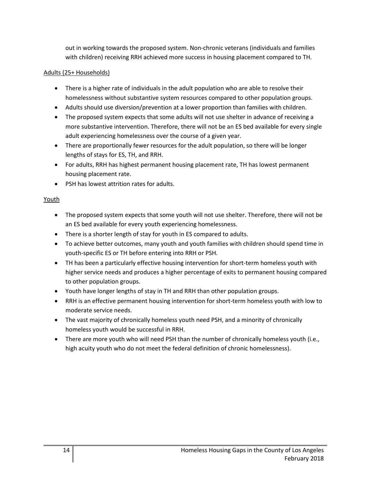out in working towards the proposed system. Non-chronic veterans (individuals and families with children) receiving RRH achieved more success in housing placement compared to TH.

## Adults (25+ Households)

- There is a higher rate of individuals in the adult population who are able to resolve their homelessness without substantive system resources compared to other population groups.
- Adults should use diversion/prevention at a lower proportion than families with children.
- The proposed system expects that some adults will not use shelter in advance of receiving a more substantive intervention. Therefore, there will not be an ES bed available for every single adult experiencing homelessness over the course of a given year.
- There are proportionally fewer resources for the adult population, so there will be longer lengths of stays for ES, TH, and RRH.
- For adults, RRH has highest permanent housing placement rate, TH has lowest permanent housing placement rate.
- PSH has lowest attrition rates for adults.

## Youth

- The proposed system expects that some youth will not use shelter. Therefore, there will not be an ES bed available for every youth experiencing homelessness.
- There is a shorter length of stay for youth in ES compared to adults.
- To achieve better outcomes, many youth and youth families with children should spend time in youth-specific ES or TH before entering into RRH or PSH.
- TH has been a particularly effective housing intervention for short-term homeless youth with higher service needs and produces a higher percentage of exits to permanent housing compared to other population groups.
- Youth have longer lengths of stay in TH and RRH than other population groups.
- RRH is an effective permanent housing intervention for short-term homeless youth with low to moderate service needs.
- The vast majority of chronically homeless youth need PSH, and a minority of chronically homeless youth would be successful in RRH.
- There are more youth who will need PSH than the number of chronically homeless youth (i.e., high acuity youth who do not meet the federal definition of chronic homelessness).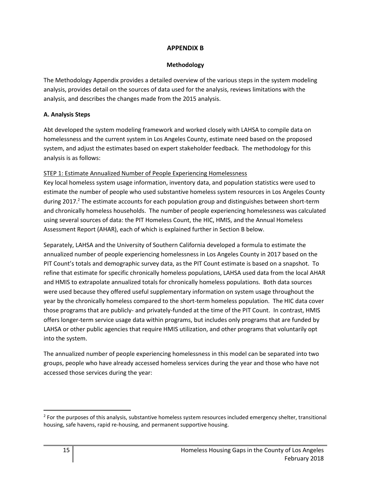## **APPENDIX B**

#### **Methodology**

The Methodology Appendix provides a detailed overview of the various steps in the system modeling analysis, provides detail on the sources of data used for the analysis, reviews limitations with the analysis, and describes the changes made from the 2015 analysis.

#### **A. Analysis Steps**

Abt developed the system modeling framework and worked closely with LAHSA to compile data on homelessness and the current system in Los Angeles County, estimate need based on the proposed system, and adjust the estimates based on expert stakeholder feedback. The methodology for this analysis is as follows:

## STEP 1: Estimate Annualized Number of People Experiencing Homelessness

Key local homeless system usage information, inventory data, and population statistics were used to estimate the number of people who used substantive homeless system resources in Los Angeles County during 2017.<sup>2</sup> The estimate accounts for each population group and distinguishes between short-term and chronically homeless households. The number of people experiencing homelessness was calculated using several sources of data: the PIT Homeless Count, the HIC, HMIS, and the Annual Homeless Assessment Report (AHAR), each of which is explained further in Section B below.

Separately, LAHSA and the University of Southern California developed a formula to estimate the annualized number of people experiencing homelessness in Los Angeles County in 2017 based on the PIT Count's totals and demographic survey data, as the PIT Count estimate is based on a snapshot. To refine that estimate for specific chronically homeless populations, LAHSA used data from the local AHAR and HMIS to extrapolate annualized totals for chronically homeless populations. Both data sources were used because they offered useful supplementary information on system usage throughout the year by the chronically homeless compared to the short-term homeless population. The HIC data cover those programs that are publicly- and privately-funded at the time of the PIT Count. In contrast, HMIS offers longer-term service usage data within programs, but includes only programs that are funded by LAHSA or other public agencies that require HMIS utilization, and other programs that voluntarily opt into the system.

The annualized number of people experiencing homelessness in this model can be separated into two groups, people who have already accessed homeless services during the year and those who have not accessed those services during the year:

 $\overline{\phantom{a}}$ 

<sup>&</sup>lt;sup>2</sup> For the purposes of this analysis, substantive homeless system resources included emergency shelter, transitional housing, safe havens, rapid re-housing, and permanent supportive housing.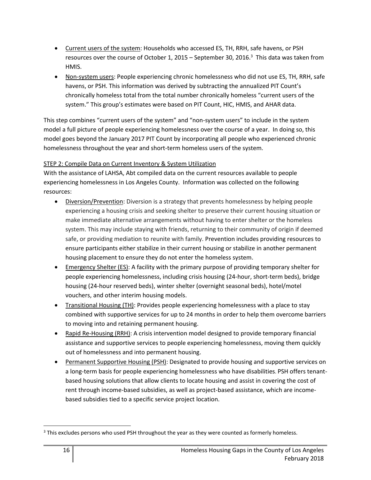- Current users of the system: Households who accessed ES, TH, RRH, safe havens, or PSH resources over the course of October 1, 2015 – September 30, 2016. $^3$  This data was taken from HMIS.
- Non-system users: People experiencing chronic homelessness who did not use ES, TH, RRH, safe havens, or PSH. This information was derived by subtracting the annualized PIT Count's chronically homeless total from the total number chronically homeless "current users of the system." This group's estimates were based on PIT Count, HIC, HMIS, and AHAR data.

This step combines "current users of the system" and "non-system users" to include in the system model a full picture of people experiencing homelessness over the course of a year. In doing so, this model goes beyond the January 2017 PIT Count by incorporating all people who experienced chronic homelessness throughout the year and short-term homeless users of the system.

## STEP 2: Compile Data on Current Inventory & System Utilization

With the assistance of LAHSA, Abt compiled data on the current resources available to people experiencing homelessness in Los Angeles County. Information was collected on the following resources:

- Diversion/Prevention: Diversion is a strategy that prevents homelessness by helping people experiencing a housing crisis and seeking shelter to preserve their current housing situation or make immediate alternative arrangements without having to enter shelter or the homeless system. This may include staying with friends, returning to their community of origin if deemed safe, or providing mediation to reunite with family. Prevention includes providing resources to ensure participants either stabilize in their current housing or stabilize in another permanent housing placement to ensure they do not enter the homeless system.
- Emergency Shelter (ES): A facility with the primary purpose of providing temporary shelter for people experiencing homelessness, including crisis housing (24-hour, short-term beds), bridge housing (24-hour reserved beds), winter shelter (overnight seasonal beds), hotel/motel vouchers, and other interim housing models.
- Transitional Housing (TH): Provides people experiencing homelessness with a place to stay combined with supportive services for up to 24 months in order to help them overcome barriers to moving into and retaining permanent housing.
- Rapid Re-Housing (RRH): A crisis intervention model designed to provide temporary financial assistance and supportive services to people experiencing homelessness, moving them quickly out of homelessness and into permanent housing.
- Permanent Supportive Housing (PSH): Designated to provide housing and supportive services on a long-term basis for people experiencing homelessness who have disabilities. PSH offers tenantbased housing solutions that allow clients to locate housing and assist in covering the cost of rent through income-based subsidies, as well as project-based assistance, which are incomebased subsidies tied to a specific service project location.

 $\overline{\phantom{a}}$ 

<sup>&</sup>lt;sup>3</sup> This excludes persons who used PSH throughout the year as they were counted as formerly homeless.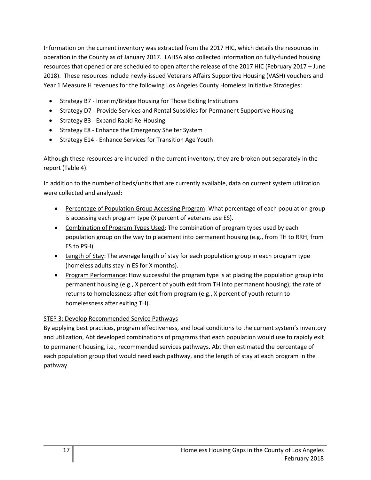Information on the current inventory was extracted from the 2017 HIC, which details the resources in operation in the County as of January 2017. LAHSA also collected information on fully-funded housing resources that opened or are scheduled to open after the release of the 2017 HIC (February 2017 – June 2018). These resources include newly-issued Veterans Affairs Supportive Housing (VASH) vouchers and Year 1 Measure H revenues for the following Los Angeles County Homeless Initiative Strategies:

- Strategy B7 Interim/Bridge Housing for Those Exiting Institutions
- Strategy D7 Provide Services and Rental Subsidies for Permanent Supportive Housing
- Strategy B3 Expand Rapid Re-Housing
- Strategy E8 Enhance the Emergency Shelter System
- Strategy E14 Enhance Services for Transition Age Youth

Although these resources are included in the current inventory, they are broken out separately in the report (Table 4).

In addition to the number of beds/units that are currently available, data on current system utilization were collected and analyzed:

- Percentage of Population Group Accessing Program: What percentage of each population group is accessing each program type (X percent of veterans use ES).
- Combination of Program Types Used: The combination of program types used by each population group on the way to placement into permanent housing (e.g., from TH to RRH; from ES to PSH).
- Length of Stay: The average length of stay for each population group in each program type (homeless adults stay in ES for X months).
- Program Performance: How successful the program type is at placing the population group into permanent housing (e.g., X percent of youth exit from TH into permanent housing); the rate of returns to homelessness after exit from program (e.g., X percent of youth return to homelessness after exiting TH).

## STEP 3: Develop Recommended Service Pathways

By applying best practices, program effectiveness, and local conditions to the current system's inventory and utilization, Abt developed combinations of programs that each population would use to rapidly exit to permanent housing, i.e., recommended services pathways. Abt then estimated the percentage of each population group that would need each pathway, and the length of stay at each program in the pathway.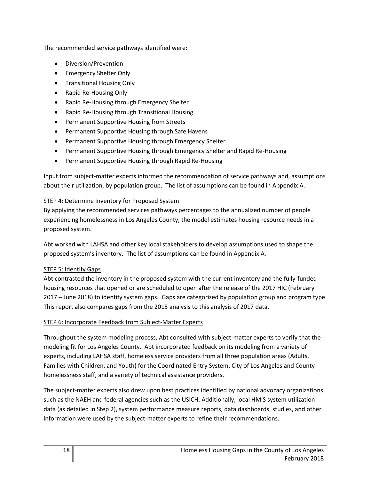The recommended service pathways identified were:

- Diversion/Prevention
- Emergency Shelter Only
- Transitional Housing Only
- Rapid Re-Housing Only
- Rapid Re-Housing through Emergency Shelter
- Rapid Re-Housing through Transitional Housing
- Permanent Supportive Housing from Streets
- Permanent Supportive Housing through Safe Havens
- Permanent Supportive Housing through Emergency Shelter
- Permanent Supportive Housing through Emergency Shelter and Rapid Re-Housing
- Permanent Supportive Housing through Rapid Re-Housing

Input from subject-matter experts informed the recommendation of service pathways and, assumptions about their utilization, by population group. The list of assumptions can be found in Appendix A.

## STEP 4: Determine Inventory for Proposed System

By applying the recommended services pathways percentages to the annualized number of people experiencing homelessness in Los Angeles County, the model estimates housing resource needs in a proposed system.

Abt worked with LAHSA and other key local stakeholders to develop assumptions used to shape the proposed system's inventory. The list of assumptions can be found in Appendix A.

## STEP 5: Identify Gaps

Abt contrasted the inventory in the proposed system with the current inventory and the fully-funded housing resources that opened or are scheduled to open after the release of the 2017 HIC (February 2017 – June 2018) to identify system gaps. Gaps are categorized by population group and program type. This report also compares gaps from the 2015 analysis to this analysis of 2017 data.

## STEP 6: Incorporate Feedback from Subject-Matter Experts

Throughout the system modeling process, Abt consulted with subject-matter experts to verify that the modeling fit for Los Angeles County. Abt incorporated feedback on its modeling from a variety of experts, including LAHSA staff, homeless service providers from all three population areas (Adults, Families with Children, and Youth) for the Coordinated Entry System, City of Los Angeles and County homelessness staff, and a variety of technical assistance providers.

The subject-matter experts also drew upon best practices identified by national advocacy organizations such as the NAEH and federal agencies such as the USICH. Additionally, local HMIS system utilization data (as detailed in Step 2), system performance measure reports, data dashboards, studies, and other information were used by the subject-matter experts to refine their recommendations.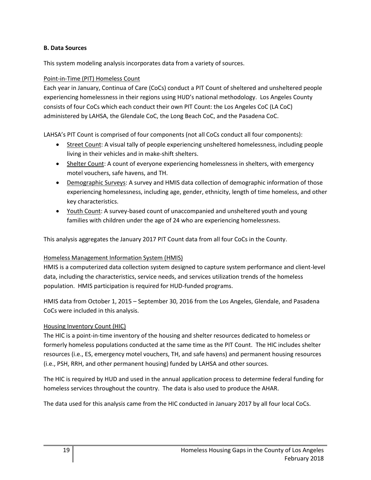#### **B. Data Sources**

This system modeling analysis incorporates data from a variety of sources.

## Point-in-Time (PIT) Homeless Count

Each year in January, Continua of Care (CoCs) conduct a PIT Count of sheltered and unsheltered people experiencing homelessness in their regions using HUD's national methodology. Los Angeles County consists of four CoCs which each conduct their own PIT Count: the Los Angeles CoC (LA CoC) administered by LAHSA, the Glendale CoC, the Long Beach CoC, and the Pasadena CoC.

LAHSA's PIT Count is comprised of four components (not all CoCs conduct all four components):

- Street Count: A visual tally of people experiencing unsheltered homelessness, including people living in their vehicles and in make-shift shelters.
- Shelter Count: A count of everyone experiencing homelessness in shelters, with emergency motel vouchers, safe havens, and TH.
- Demographic Surveys: A survey and HMIS data collection of demographic information of those experiencing homelessness, including age, gender, ethnicity, length of time homeless, and other key characteristics.
- Youth Count: A survey-based count of unaccompanied and unsheltered youth and young families with children under the age of 24 who are experiencing homelessness.

This analysis aggregates the January 2017 PIT Count data from all four CoCs in the County.

## Homeless Management Information System (HMIS)

HMIS is a computerized data collection system designed to capture system performance and client-level data, including the characteristics, service needs, and services utilization trends of the homeless population. HMIS participation is required for HUD-funded programs.

HMIS data from October 1, 2015 – September 30, 2016 from the Los Angeles, Glendale, and Pasadena CoCs were included in this analysis.

## Housing Inventory Count (HIC)

The HIC is a point-in-time inventory of the housing and shelter resources dedicated to homeless or formerly homeless populations conducted at the same time as the PIT Count. The HIC includes shelter resources (i.e., ES, emergency motel vouchers, TH, and safe havens) and permanent housing resources (i.e., PSH, RRH, and other permanent housing) funded by LAHSA and other sources.

The HIC is required by HUD and used in the annual application process to determine federal funding for homeless services throughout the country. The data is also used to produce the AHAR.

The data used for this analysis came from the HIC conducted in January 2017 by all four local CoCs.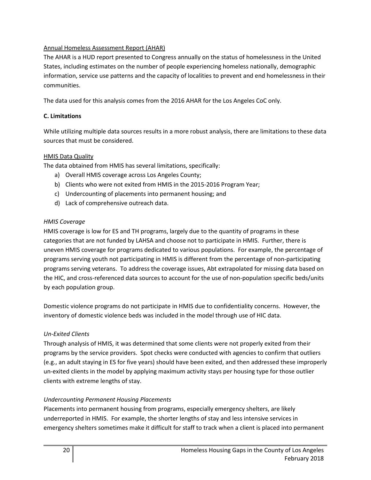## Annual Homeless Assessment Report (AHAR)

The AHAR is a HUD report presented to Congress annually on the status of homelessness in the United States, including estimates on the number of people experiencing homeless nationally, demographic information, service use patterns and the capacity of localities to prevent and end homelessness in their communities.

The data used for this analysis comes from the 2016 AHAR for the Los Angeles CoC only.

## **C. Limitations**

While utilizing multiple data sources results in a more robust analysis, there are limitations to these data sources that must be considered.

## HMIS Data Quality

The data obtained from HMIS has several limitations, specifically:

- a) Overall HMIS coverage across Los Angeles County;
- b) Clients who were not exited from HMIS in the 2015-2016 Program Year;
- c) Undercounting of placements into permanent housing; and
- d) Lack of comprehensive outreach data.

## *HMIS Coverage*

HMIS coverage is low for ES and TH programs, largely due to the quantity of programs in these categories that are not funded by LAHSA and choose not to participate in HMIS. Further, there is uneven HMIS coverage for programs dedicated to various populations. For example, the percentage of programs serving youth not participating in HMIS is different from the percentage of non-participating programs serving veterans. To address the coverage issues, Abt extrapolated for missing data based on the HIC, and cross-referenced data sources to account for the use of non-population specific beds/units by each population group.

Domestic violence programs do not participate in HMIS due to confidentiality concerns. However, the inventory of domestic violence beds was included in the model through use of HIC data.

## *Un-Exited Clients*

Through analysis of HMIS, it was determined that some clients were not properly exited from their programs by the service providers. Spot checks were conducted with agencies to confirm that outliers (e.g., an adult staying in ES for five years) should have been exited, and then addressed these improperly un-exited clients in the model by applying maximum activity stays per housing type for those outlier clients with extreme lengths of stay.

## *Undercounting Permanent Housing Placements*

Placements into permanent housing from programs, especially emergency shelters, are likely underreported in HMIS. For example, the shorter lengths of stay and less intensive services in emergency shelters sometimes make it difficult for staff to track when a client is placed into permanent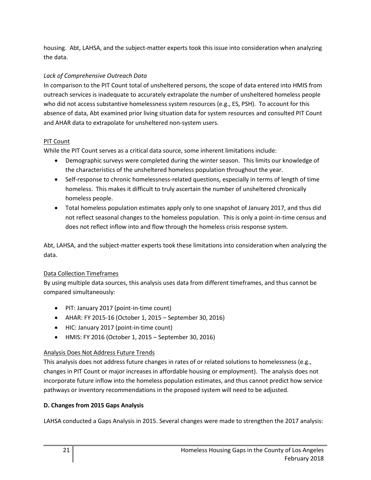housing. Abt, LAHSA, and the subject-matter experts took this issue into consideration when analyzing the data.

## *Lack of Comprehensive Outreach Data*

In comparison to the PIT Count total of unsheltered persons, the scope of data entered into HMIS from outreach services is inadequate to accurately extrapolate the number of unsheltered homeless people who did not access substantive homelessness system resources (e.g., ES, PSH). To account for this absence of data, Abt examined prior living situation data for system resources and consulted PIT Count and AHAR data to extrapolate for unsheltered non-system users.

## PIT Count

While the PIT Count serves as a critical data source, some inherent limitations include:

- Demographic surveys were completed during the winter season. This limits our knowledge of the characteristics of the unsheltered homeless population throughout the year.
- Self-response to chronic homelessness-related questions, especially in terms of length of time homeless. This makes it difficult to truly ascertain the number of unsheltered chronically homeless people.
- Total homeless population estimates apply only to one snapshot of January 2017, and thus did not reflect seasonal changes to the homeless population. This is only a point-in-time census and does not reflect inflow into and flow through the homeless crisis response system.

Abt, LAHSA, and the subject-matter experts took these limitations into consideration when analyzing the data.

## Data Collection Timeframes

By using multiple data sources, this analysis uses data from different timeframes, and thus cannot be compared simultaneously:

- PIT: January 2017 (point-in-time count)
- AHAR: FY 2015-16 (October 1, 2015 September 30, 2016)
- HIC: January 2017 (point-in-time count)
- HMIS: FY 2016 (October 1, 2015 September 30, 2016)

## Analysis Does Not Address Future Trends

This analysis does not address future changes in rates of or related solutions to homelessness (e.g., changes in PIT Count or major increases in affordable housing or employment). The analysis does not incorporate future inflow into the homeless population estimates, and thus cannot predict how service pathways or inventory recommendations in the proposed system will need to be adjusted.

# **D. Changes from 2015 Gaps Analysis**

LAHSA conducted a Gaps Analysis in 2015. Several changes were made to strengthen the 2017 analysis: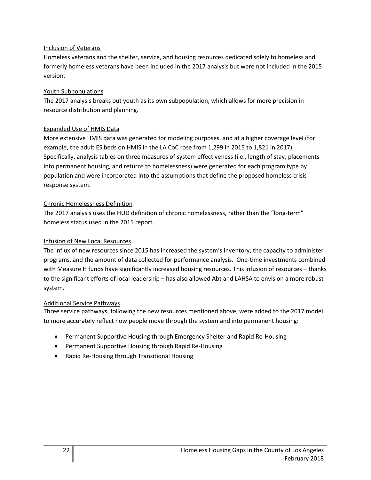#### Inclusion of Veterans

Homeless veterans and the shelter, service, and housing resources dedicated solely to homeless and formerly homeless veterans have been included in the 2017 analysis but were not included in the 2015 version.

#### Youth Subpopulations

The 2017 analysis breaks out youth as its own subpopulation, which allows for more precision in resource distribution and planning.

## Expanded Use of HMIS Data

More extensive HMIS data was generated for modeling purposes, and at a higher coverage level (for example, the adult ES beds on HMIS in the LA CoC rose from 1,299 in 2015 to 1,821 in 2017). Specifically, analysis tables on three measures of system effectiveness (i.e., length of stay, placements into permanent housing, and returns to homelessness) were generated for each program type by population and were incorporated into the assumptions that define the proposed homeless crisis response system.

#### Chronic Homelessness Definition

The 2017 analysis uses the HUD definition of chronic homelessness, rather than the "long-term" homeless status used in the 2015 report.

#### Infusion of New Local Resources

The influx of new resources since 2015 has increased the system's inventory, the capacity to administer programs, and the amount of data collected for performance analysis. One-time investments combined with Measure H funds have significantly increased housing resources. This infusion of resources – thanks to the significant efforts of local leadership – has also allowed Abt and LAHSA to envision a more robust system.

## Additional Service Pathways

Three service pathways, following the new resources mentioned above, were added to the 2017 model to more accurately reflect how people move through the system and into permanent housing:

- Permanent Supportive Housing through Emergency Shelter and Rapid Re-Housing
- Permanent Supportive Housing through Rapid Re-Housing
- Rapid Re-Housing through Transitional Housing